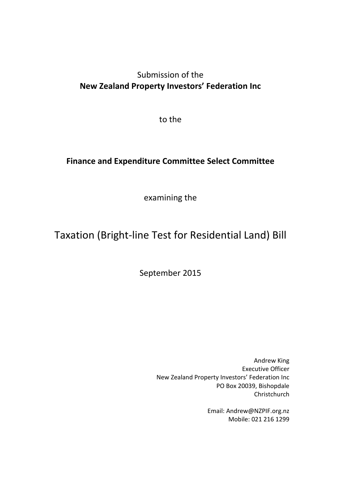# Submission of the **New Zealand Property Investors' Federation Inc**

to the

# **Finance and Expenditure Committee Select Committee**

examining the

# Taxation (Bright-line Test for Residential Land) Bill

September 2015

Andrew King Executive Officer New Zealand Property Investors' Federation Inc PO Box 20039, Bishopdale Christchurch

> Email: Andrew@NZPIF.org.nz Mobile: 021 216 1299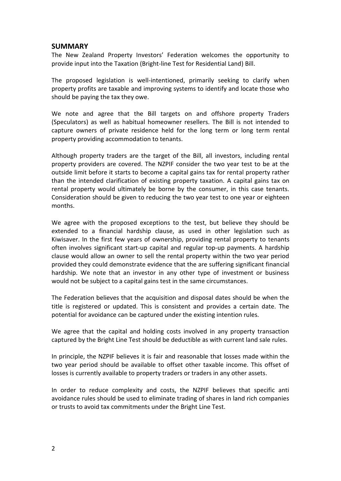#### **SUMMARY**

The New Zealand Property Investors' Federation welcomes the opportunity to provide input into the Taxation (Bright-line Test for Residential Land) Bill.

The proposed legislation is well-intentioned, primarily seeking to clarify when property profits are taxable and improving systems to identify and locate those who should be paying the tax they owe.

We note and agree that the Bill targets on and offshore property Traders (Speculators) as well as habitual homeowner resellers. The Bill is not intended to capture owners of private residence held for the long term or long term rental property providing accommodation to tenants.

Although property traders are the target of the Bill, all investors, including rental property providers are covered. The NZPIF consider the two year test to be at the outside limit before it starts to become a capital gains tax for rental property rather than the intended clarification of existing property taxation. A capital gains tax on rental property would ultimately be borne by the consumer, in this case tenants. Consideration should be given to reducing the two year test to one year or eighteen months.

We agree with the proposed exceptions to the test, but believe they should be extended to a financial hardship clause, as used in other legislation such as Kiwisaver. In the first few years of ownership, providing rental property to tenants often involves significant start-up capital and regular top-up payments. A hardship clause would allow an owner to sell the rental property within the two year period provided they could demonstrate evidence that the are suffering significant financial hardship. We note that an investor in any other type of investment or business would not be subject to a capital gains test in the same circumstances.

The Federation believes that the acquisition and disposal dates should be when the title is registered or updated. This is consistent and provides a certain date. The potential for avoidance can be captured under the existing intention rules.

We agree that the capital and holding costs involved in any property transaction captured by the Bright Line Test should be deductible as with current land sale rules.

In principle, the NZPIF believes it is fair and reasonable that losses made within the two year period should be available to offset other taxable income. This offset of losses is currently available to property traders or traders in any other assets.

In order to reduce complexity and costs, the NZPIF believes that specific anti avoidance rules should be used to eliminate trading of shares in land rich companies or trusts to avoid tax commitments under the Bright Line Test.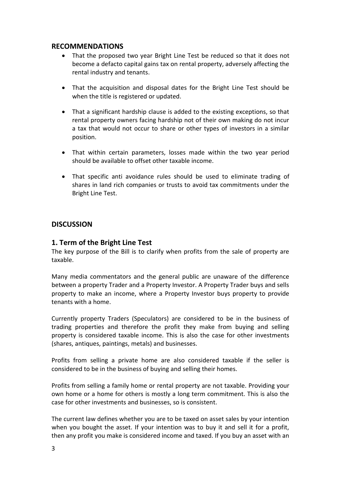#### **RECOMMENDATIONS**

- That the proposed two year Bright Line Test be reduced so that it does not become a defacto capital gains tax on rental property, adversely affecting the rental industry and tenants.
- That the acquisition and disposal dates for the Bright Line Test should be when the title is registered or updated.
- That a significant hardship clause is added to the existing exceptions, so that rental property owners facing hardship not of their own making do not incur a tax that would not occur to share or other types of investors in a similar position.
- That within certain parameters, losses made within the two year period should be available to offset other taxable income.
- That specific anti avoidance rules should be used to eliminate trading of shares in land rich companies or trusts to avoid tax commitments under the Bright Line Test.

# **DISCUSSION**

#### **1. Term of the Bright Line Test**

The key purpose of the Bill is to clarify when profits from the sale of property are taxable.

Many media commentators and the general public are unaware of the difference between a property Trader and a Property Investor. A Property Trader buys and sells property to make an income, where a Property Investor buys property to provide tenants with a home.

Currently property Traders (Speculators) are considered to be in the business of trading properties and therefore the profit they make from buying and selling property is considered taxable income. This is also the case for other investments (shares, antiques, paintings, metals) and businesses.

Profits from selling a private home are also considered taxable if the seller is considered to be in the business of buying and selling their homes.

Profits from selling a family home or rental property are not taxable. Providing your own home or a home for others is mostly a long term commitment. This is also the case for other investments and businesses, so is consistent.

The current law defines whether you are to be taxed on asset sales by your intention when you bought the asset. If your intention was to buy it and sell it for a profit, then any profit you make is considered income and taxed. If you buy an asset with an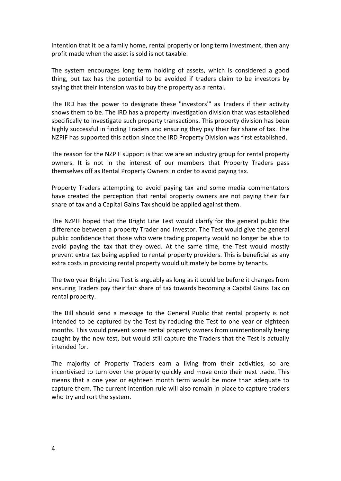intention that it be a family home, rental property or long term investment, then any profit made when the asset is sold is not taxable.

The system encourages long term holding of assets, which is considered a good thing, but tax has the potential to be avoided if traders claim to be investors by saying that their intension was to buy the property as a rental.

The IRD has the power to designate these "investors'" as Traders if their activity shows them to be. The IRD has a property investigation division that was established specifically to investigate such property transactions. This property division has been highly successful in finding Traders and ensuring they pay their fair share of tax. The NZPIF has supported this action since the IRD Property Division was first established.

The reason for the NZPIF support is that we are an industry group for rental property owners. It is not in the interest of our members that Property Traders pass themselves off as Rental Property Owners in order to avoid paying tax.

Property Traders attempting to avoid paying tax and some media commentators have created the perception that rental property owners are not paying their fair share of tax and a Capital Gains Tax should be applied against them.

The NZPIF hoped that the Bright Line Test would clarify for the general public the difference between a property Trader and Investor. The Test would give the general public confidence that those who were trading property would no longer be able to avoid paying the tax that they owed. At the same time, the Test would mostly prevent extra tax being applied to rental property providers. This is beneficial as any extra costs in providing rental property would ultimately be borne by tenants.

The two year Bright Line Test is arguably as long as it could be before it changes from ensuring Traders pay their fair share of tax towards becoming a Capital Gains Tax on rental property.

The Bill should send a message to the General Public that rental property is not intended to be captured by the Test by reducing the Test to one year or eighteen months. This would prevent some rental property owners from unintentionally being caught by the new test, but would still capture the Traders that the Test is actually intended for.

The majority of Property Traders earn a living from their activities, so are incentivised to turn over the property quickly and move onto their next trade. This means that a one year or eighteen month term would be more than adequate to capture them. The current intention rule will also remain in place to capture traders who try and rort the system.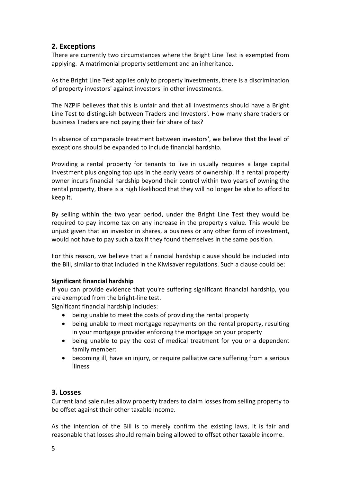# **2. Exceptions**

There are currently two circumstances where the Bright Line Test is exempted from applying. A matrimonial property settlement and an inheritance.

As the Bright Line Test applies only to property investments, there is a discrimination of property investors' against investors' in other investments.

The NZPIF believes that this is unfair and that all investments should have a Bright Line Test to distinguish between Traders and Investors'. How many share traders or business Traders are not paying their fair share of tax?

In absence of comparable treatment between investors', we believe that the level of exceptions should be expanded to include financial hardship.

Providing a rental property for tenants to live in usually requires a large capital investment plus ongoing top ups in the early years of ownership. If a rental property owner incurs financial hardship beyond their control within two years of owning the rental property, there is a high likelihood that they will no longer be able to afford to keep it.

By selling within the two year period, under the Bright Line Test they would be required to pay income tax on any increase in the property's value. This would be unjust given that an investor in shares, a business or any other form of investment, would not have to pay such a tax if they found themselves in the same position.

For this reason, we believe that a financial hardship clause should be included into the Bill, similar to that included in the Kiwisaver regulations. Such a clause could be:

#### **Significant financial hardship**

If you can provide evidence that you're suffering significant financial hardship, you are exempted from the bright-line test.

Significant financial hardship includes:

- being unable to meet the costs of providing the rental property
- being unable to meet mortgage repayments on the rental property, resulting in your mortgage provider enforcing the mortgage on your property
- being unable to pay the cost of medical treatment for you or a dependent family member:
- becoming ill, have an injury, or require palliative care suffering from a serious illness

### **3. Losses**

Current land sale rules allow property traders to claim losses from selling property to be offset against their other taxable income.

As the intention of the Bill is to merely confirm the existing laws, it is fair and reasonable that losses should remain being allowed to offset other taxable income.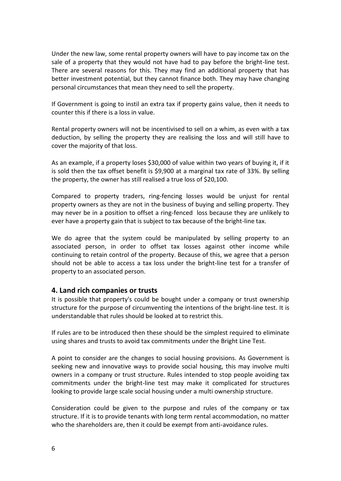Under the new law, some rental property owners will have to pay income tax on the sale of a property that they would not have had to pay before the bright-line test. There are several reasons for this. They may find an additional property that has better investment potential, but they cannot finance both. They may have changing personal circumstances that mean they need to sell the property.

If Government is going to instil an extra tax if property gains value, then it needs to counter this if there is a loss in value.

Rental property owners will not be incentivised to sell on a whim, as even with a tax deduction, by selling the property they are realising the loss and will still have to cover the majority of that loss.

As an example, if a property loses \$30,000 of value within two years of buying it, if it is sold then the tax offset benefit is \$9,900 at a marginal tax rate of 33%. By selling the property, the owner has still realised a true loss of \$20,100.

Compared to property traders, ring-fencing losses would be unjust for rental property owners as they are not in the business of buying and selling property. They may never be in a position to offset a ring-fenced loss because they are unlikely to ever have a property gain that is subject to tax because of the bright-line tax.

We do agree that the system could be manipulated by selling property to an associated person, in order to offset tax losses against other income while continuing to retain control of the property. Because of this, we agree that a person should not be able to access a tax loss under the bright-line test for a transfer of property to an associated person.

#### **4. Land rich companies or trusts**

It is possible that property's could be bought under a company or trust ownership structure for the purpose of circumventing the intentions of the bright-line test. It is understandable that rules should be looked at to restrict this.

If rules are to be introduced then these should be the simplest required to eliminate using shares and trusts to avoid tax commitments under the Bright Line Test.

A point to consider are the changes to social housing provisions. As Government is seeking new and innovative ways to provide social housing, this may involve multi owners in a company or trust structure. Rules intended to stop people avoiding tax commitments under the bright-line test may make it complicated for structures looking to provide large scale social housing under a multi ownership structure.

Consideration could be given to the purpose and rules of the company or tax structure. If it is to provide tenants with long term rental accommodation, no matter who the shareholders are, then it could be exempt from anti-avoidance rules.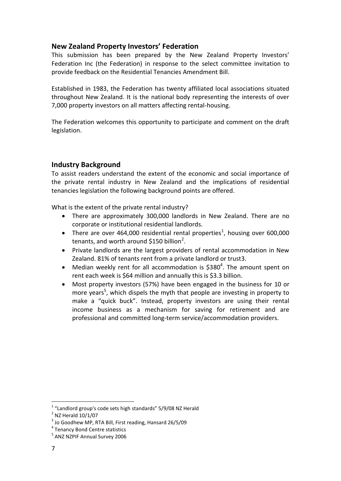# **New Zealand Property Investors' Federation**

This submission has been prepared by the New Zealand Property Investors' Federation Inc (the Federation) in response to the select committee invitation to provide feedback on the Residential Tenancies Amendment Bill.

Established in 1983, the Federation has twenty affiliated local associations situated throughout New Zealand. It is the national body representing the interests of over 7,000 property investors on all matters affecting rental-housing.

The Federation welcomes this opportunity to participate and comment on the draft legislation.

# **Industry Background**

To assist readers understand the extent of the economic and social importance of the private rental industry in New Zealand and the implications of residential tenancies legislation the following background points are offered.

What is the extent of the private rental industry?

- There are approximately 300,000 landlords in New Zealand. There are no corporate or institutional residential landlords.
- There are over 464,000 residential rental properties<sup>1</sup>, housing over 600,000 tenants, and worth around \$150 billion<sup>2</sup>.
- Private landlords are the largest providers of rental accommodation in New Zealand. 81% of tenants rent from a private landlord or trust3.
- Median weekly rent for all accommodation is  $$380<sup>4</sup>$ . The amount spent on rent each week is \$64 million and annually this is \$3.3 billion.
- Most property investors (57%) have been engaged in the business for 10 or more years<sup>5</sup>, which dispels the myth that people are investing in property to make a "quick buck". Instead, property investors are using their rental income business as a mechanism for saving for retirement and are professional and committed long-term service/accommodation providers.

<u>.</u>

 $1$  "Landlord group's code sets high standards" 5/9/08 NZ Herald

 $2$  NZ Herald  $10/1/07$ 

<sup>3</sup> Jo Goodhew MP, RTA Bill, First reading, Hansard 26/5/09

<sup>4</sup> Tenancy Bond Centre statistics

<sup>5</sup> ANZ NZPIF Annual Survey 2006